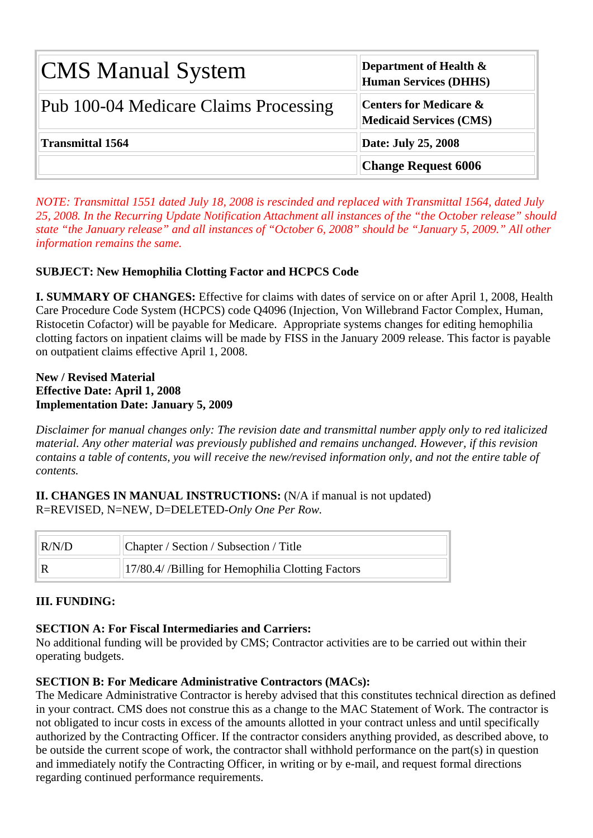| <b>CMS Manual System</b>              | Department of Health &<br><b>Human Services (DHHS)</b>              |  |  |  |  |  |  |
|---------------------------------------|---------------------------------------------------------------------|--|--|--|--|--|--|
| Pub 100-04 Medicare Claims Processing | <b>Centers for Medicare &amp;</b><br><b>Medicaid Services (CMS)</b> |  |  |  |  |  |  |
| <b>Transmittal 1564</b>               | Date: July 25, 2008                                                 |  |  |  |  |  |  |
|                                       | <b>Change Request 6006</b>                                          |  |  |  |  |  |  |

*NOTE: Transmittal 1551 dated July 18, 2008 is rescinded and replaced with Transmittal 1564, dated July 25, 2008. In the Recurring Update Notification Attachment all instances of the "the October release" should state "the January release" and all instances of "October 6, 2008" should be "January 5, 2009." All other information remains the same.*

# **SUBJECT: New Hemophilia Clotting Factor and HCPCS Code**

**I. SUMMARY OF CHANGES:** Effective for claims with dates of service on or after April 1, 2008, Health Care Procedure Code System (HCPCS) code Q4096 (Injection, Von Willebrand Factor Complex, Human, Ristocetin Cofactor) will be payable for Medicare. Appropriate systems changes for editing hemophilia clotting factors on inpatient claims will be made by FISS in the January 2009 release. This factor is payable on outpatient claims effective April 1, 2008.

#### **New / Revised Material Effective Date: April 1, 2008 Implementation Date: January 5, 2009**

*Disclaimer for manual changes only: The revision date and transmittal number apply only to red italicized material. Any other material was previously published and remains unchanged. However, if this revision contains a table of contents, you will receive the new/revised information only, and not the entire table of contents.*

**II. CHANGES IN MANUAL INSTRUCTIONS:** (N/A if manual is not updated) R=REVISED, N=NEW, D=DELETED-*Only One Per Row.* 

| Chapter / Section / Subsection / Title<br>R/N/D |                                                   |  |
|-------------------------------------------------|---------------------------------------------------|--|
|                                                 | 17/80.4/ /Billing for Hemophilia Clotting Factors |  |

## **III. FUNDING:**

## **SECTION A: For Fiscal Intermediaries and Carriers:**

No additional funding will be provided by CMS; Contractor activities are to be carried out within their operating budgets.

## **SECTION B: For Medicare Administrative Contractors (MACs):**

The Medicare Administrative Contractor is hereby advised that this constitutes technical direction as defined in your contract. CMS does not construe this as a change to the MAC Statement of Work. The contractor is not obligated to incur costs in excess of the amounts allotted in your contract unless and until specifically authorized by the Contracting Officer. If the contractor considers anything provided, as described above, to be outside the current scope of work, the contractor shall withhold performance on the part(s) in question and immediately notify the Contracting Officer, in writing or by e-mail, and request formal directions regarding continued performance requirements.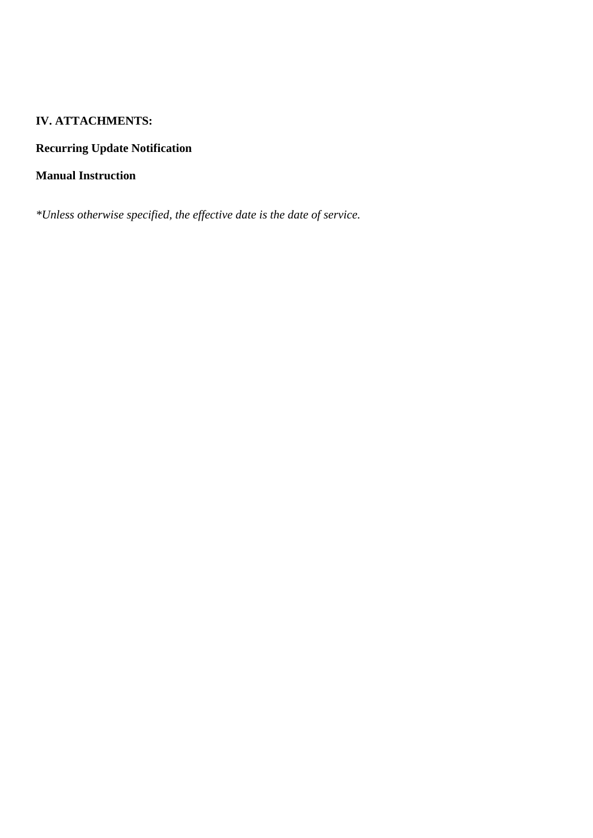# **IV. ATTACHMENTS:**

# **Recurring Update Notification**

# **Manual Instruction**

*\*Unless otherwise specified, the effective date is the date of service.*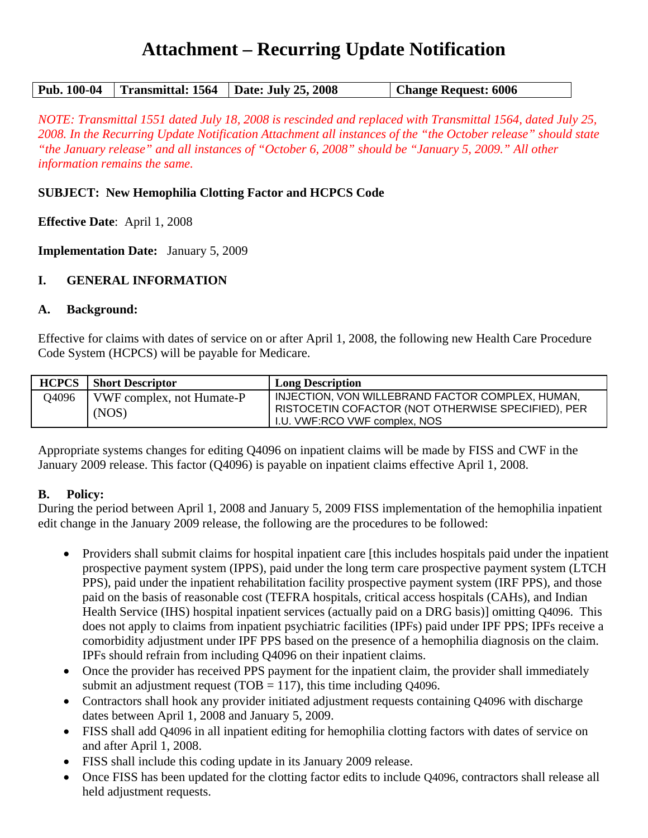# **Attachment – Recurring Update Notification**

|  | Pub. 100-04   Transmittal: 1564   Date: July 25, 2008 | <b>Change Request: 6006</b> |
|--|-------------------------------------------------------|-----------------------------|
|  |                                                       |                             |

*NOTE: Transmittal 1551 dated July 18, 2008 is rescinded and replaced with Transmittal 1564, dated July 25, 2008. In the Recurring Update Notification Attachment all instances of the "the October release" should state "the January release" and all instances of "October 6, 2008" should be "January 5, 2009." All other information remains the same.*

#### **SUBJECT: New Hemophilia Clotting Factor and HCPCS Code**

**Effective Date**: April 1, 2008

**Implementation Date:** January 5, 2009

#### **I. GENERAL INFORMATION**

#### **A. Background:**

Effective for claims with dates of service on or after April 1, 2008, the following new Health Care Procedure Code System (HCPCS) will be payable for Medicare.

| <b>HCPCS</b> | <b>Short Descriptor</b>            | <b>Long Description</b>                                                                                                                 |
|--------------|------------------------------------|-----------------------------------------------------------------------------------------------------------------------------------------|
| 04096        | VWF complex, not Humate-P<br>(NOS) | INJECTION, VON WILLEBRAND FACTOR COMPLEX, HUMAN,<br>RISTOCETIN COFACTOR (NOT OTHERWISE SPECIFIED), PER<br>I.U. VWF:RCO VWF complex, NOS |

Appropriate systems changes for editing Q4096 on inpatient claims will be made by FISS and CWF in the January 2009 release. This factor (Q4096) is payable on inpatient claims effective April 1, 2008.

#### **B. Policy:**

During the period between April 1, 2008 and January 5, 2009 FISS implementation of the hemophilia inpatient edit change in the January 2009 release, the following are the procedures to be followed:

- Providers shall submit claims for hospital inpatient care [this includes hospitals paid under the inpatient prospective payment system (IPPS), paid under the long term care prospective payment system (LTCH PPS), paid under the inpatient rehabilitation facility prospective payment system (IRF PPS), and those paid on the basis of reasonable cost (TEFRA hospitals, critical access hospitals (CAHs), and Indian Health Service (IHS) hospital inpatient services (actually paid on a DRG basis)] omitting Q4096. This does not apply to claims from inpatient psychiatric facilities (IPFs) paid under IPF PPS; IPFs receive a comorbidity adjustment under IPF PPS based on the presence of a hemophilia diagnosis on the claim. IPFs should refrain from including Q4096 on their inpatient claims.
- Once the provider has received PPS payment for the inpatient claim, the provider shall immediately submit an adjustment request (TOB  $=$  117), this time including Q4096.
- Contractors shall hook any provider initiated adjustment requests containing Q4096 with discharge dates between April 1, 2008 and January 5, 2009.
- FISS shall add Q4096 in all inpatient editing for hemophilia clotting factors with dates of service on and after April 1, 2008.
- FISS shall include this coding update in its January 2009 release.
- Once FISS has been updated for the clotting factor edits to include 04096, contractors shall release all held adjustment requests.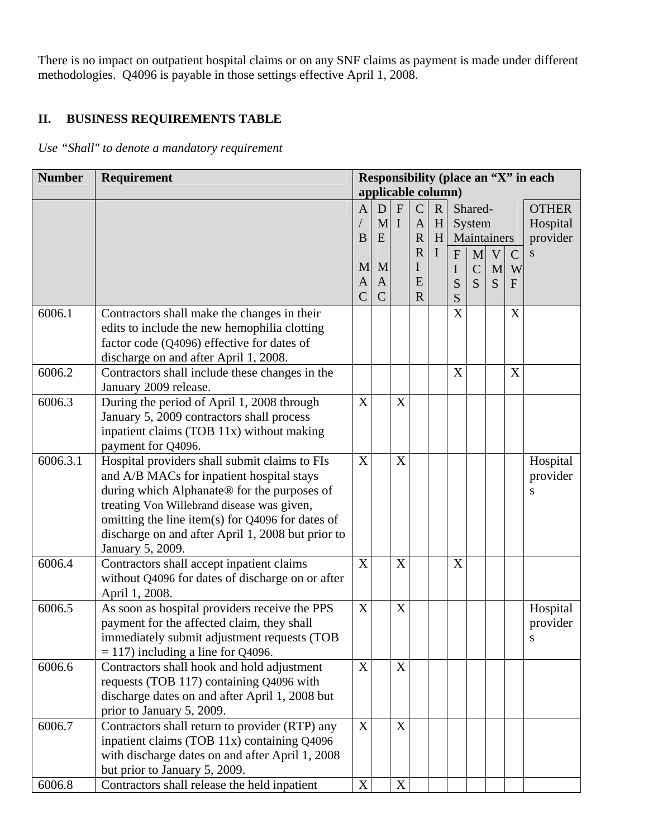There is no impact on outpatient hospital claims or on any SNF claims as payment is made under different methodologies. Q4096 is payable in those settings effective April 1, 2008.

# **II. BUSINESS REQUIREMENTS TABLE**

*Use "Shall" to denote a mandatory requirement* 

| <b>Number</b> | Requirement                                                                                                                                                                                                                                                                                                          |                                    | applicable column)                      |                             |                                                                                                |                            |                               |                                              |                            |                                  | Responsibility (place an "X" in each      |
|---------------|----------------------------------------------------------------------------------------------------------------------------------------------------------------------------------------------------------------------------------------------------------------------------------------------------------------------|------------------------------------|-----------------------------------------|-----------------------------|------------------------------------------------------------------------------------------------|----------------------------|-------------------------------|----------------------------------------------|----------------------------|----------------------------------|-------------------------------------------|
|               |                                                                                                                                                                                                                                                                                                                      | A<br>B<br>M<br>A<br>$\overline{C}$ | D<br>M<br>E<br>M<br>A<br>$\overline{C}$ | $\mathbf{F}$<br>$\mathbf I$ | $\mathbf C$<br>$\mathbf{A}$<br>$\mathbf R$<br>$\overline{\mathrm{R}}$<br>I<br>E<br>$\mathbf R$ | $\mathbf R$<br>H<br>H<br>I | $\overline{F}$<br>I<br>S<br>S | Shared-<br>System<br>M<br>$\mathcal{C}$<br>S | Maintainers<br>V<br>M<br>S | $\mathbf C$<br>W<br>$\mathbf{F}$ | <b>OTHER</b><br>Hospital<br>provider<br>S |
| 6006.1        | Contractors shall make the changes in their<br>edits to include the new hemophilia clotting<br>factor code (Q4096) effective for dates of<br>discharge on and after April 1, 2008.                                                                                                                                   |                                    |                                         |                             |                                                                                                |                            | X                             |                                              |                            | X                                |                                           |
| 6006.2        | Contractors shall include these changes in the<br>January 2009 release.                                                                                                                                                                                                                                              |                                    |                                         |                             |                                                                                                |                            | X                             |                                              |                            | X                                |                                           |
| 6006.3        | During the period of April 1, 2008 through<br>January 5, 2009 contractors shall process<br>inpatient claims (TOB 11x) without making<br>payment for Q4096.                                                                                                                                                           | X                                  |                                         | X                           |                                                                                                |                            |                               |                                              |                            |                                  |                                           |
| 6006.3.1      | Hospital providers shall submit claims to FIs<br>and A/B MACs for inpatient hospital stays<br>during which Alphanate® for the purposes of<br>treating Von Willebrand disease was given,<br>omitting the line item(s) for Q4096 for dates of<br>discharge on and after April 1, 2008 but prior to<br>January 5, 2009. | X                                  |                                         | X                           |                                                                                                |                            |                               |                                              |                            |                                  | Hospital<br>provider<br>S                 |
| 6006.4        | Contractors shall accept inpatient claims<br>without Q4096 for dates of discharge on or after<br>April 1, 2008.                                                                                                                                                                                                      | X                                  |                                         | X                           |                                                                                                |                            | X                             |                                              |                            |                                  |                                           |
| 6006.5        | As soon as hospital providers receive the PPS<br>payment for the affected claim, they shall<br>immediately submit adjustment requests (TOB<br>$= 117$ ) including a line for Q4096.                                                                                                                                  | X                                  |                                         | X                           |                                                                                                |                            |                               |                                              |                            |                                  | Hospital<br>provider<br>S                 |
| 6006.6        | Contractors shall hook and hold adjustment<br>requests (TOB 117) containing Q4096 with<br>discharge dates on and after April 1, 2008 but<br>prior to January 5, 2009.                                                                                                                                                | X                                  |                                         | X                           |                                                                                                |                            |                               |                                              |                            |                                  |                                           |
| 6006.7        | Contractors shall return to provider (RTP) any<br>inpatient claims (TOB 11x) containing Q4096<br>with discharge dates on and after April 1, 2008<br>but prior to January 5, 2009.                                                                                                                                    | X                                  |                                         | $\mathbf X$                 |                                                                                                |                            |                               |                                              |                            |                                  |                                           |
| 6006.8        | Contractors shall release the held inpatient                                                                                                                                                                                                                                                                         | $\mathbf X$                        |                                         | $\mathbf X$                 |                                                                                                |                            |                               |                                              |                            |                                  |                                           |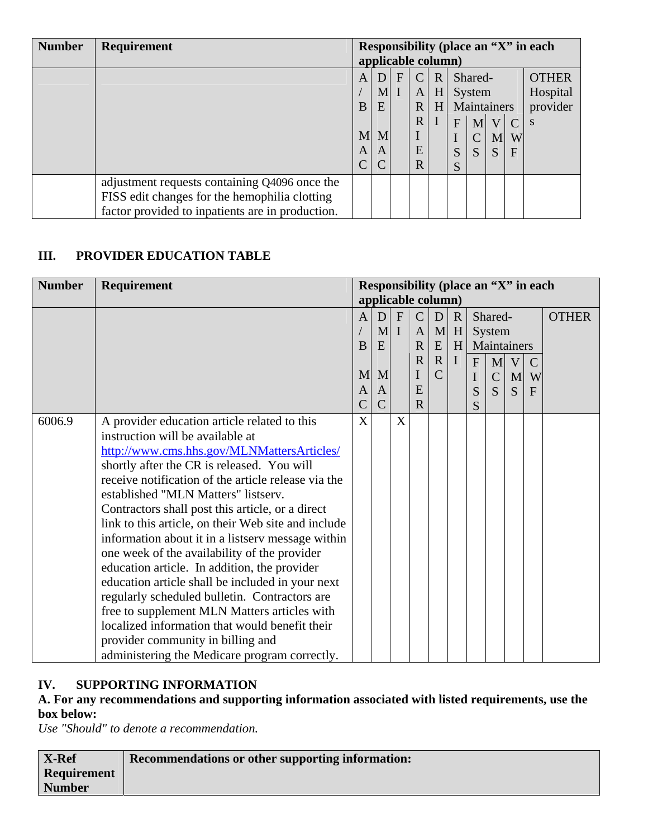| <b>Number</b> | Requirement                                      | Responsibility (place an "X" in each<br>applicable column) |             |   |                     |             |   |                       |                |              |                      |
|---------------|--------------------------------------------------|------------------------------------------------------------|-------------|---|---------------------|-------------|---|-----------------------|----------------|--------------|----------------------|
|               |                                                  | A                                                          | D           | F | C                   | $\mathbf R$ |   | Shared-               |                |              | <b>OTHER</b>         |
|               |                                                  | B                                                          | $M2$ I<br>E |   | A<br>$\overline{R}$ | H<br>H      |   | System<br>Maintainers |                |              | Hospital<br>provider |
|               |                                                  |                                                            |             |   | R                   |             | F | M <sub>l</sub>        | $\overline{V}$ |              | S                    |
|               |                                                  | M                                                          | M           |   |                     |             |   | $\mathcal{C}$         | M              | W            |                      |
|               |                                                  | A                                                          | A           |   | E                   |             | S | S                     | S              | $\mathbf{F}$ |                      |
|               |                                                  | С                                                          |             |   | $\overline{R}$      |             | S |                       |                |              |                      |
|               | adjustment requests containing Q4096 once the    |                                                            |             |   |                     |             |   |                       |                |              |                      |
|               | FISS edit changes for the hemophilia clotting    |                                                            |             |   |                     |             |   |                       |                |              |                      |
|               | factor provided to inpatients are in production. |                                                            |             |   |                     |             |   |                       |                |              |                      |

# **III. PROVIDER EDUCATION TABLE**

| <b>Number</b> | Responsibility (place an "X" in each<br><b>Requirement</b> |                    |              |              |              |                |             |             |               |             |               |              |
|---------------|------------------------------------------------------------|--------------------|--------------|--------------|--------------|----------------|-------------|-------------|---------------|-------------|---------------|--------------|
|               |                                                            | applicable column) |              |              |              |                |             |             |               |             |               |              |
|               |                                                            | A                  | D            | $\mathbf{F}$ | $\mathsf{C}$ | D              | $\mathbf R$ |             | Shared-       |             |               | <b>OTHER</b> |
|               |                                                            |                    | $\mathbf{M}$ | $\mathbf I$  | $\mathbf{A}$ | $\mathbf{M}$   | H           |             | System        |             |               |              |
|               |                                                            | B                  | E            |              | $\mathbf R$  | ${\bf E}$      | H           |             |               | Maintainers |               |              |
|               |                                                            |                    |              |              | $\mathbf R$  | $\mathbf R$    | $\mathbf I$ | F           | M             | V           | $\mathcal{C}$ |              |
|               |                                                            | M                  | M            |              |              | $\overline{C}$ |             | $\mathbf I$ | $\mathcal{C}$ | M           | W             |              |
|               |                                                            | A                  | A            |              | E            |                |             | S           | S             | S           | F             |              |
|               |                                                            | $\overline{C}$     | $\mathsf{C}$ |              | $\mathbf R$  |                |             | S           |               |             |               |              |
| 6006.9        | A provider education article related to this               | X                  |              | X            |              |                |             |             |               |             |               |              |
|               | instruction will be available at                           |                    |              |              |              |                |             |             |               |             |               |              |
|               | http://www.cms.hhs.gov/MLNMattersArticles/                 |                    |              |              |              |                |             |             |               |             |               |              |
|               | shortly after the CR is released. You will                 |                    |              |              |              |                |             |             |               |             |               |              |
|               | receive notification of the article release via the        |                    |              |              |              |                |             |             |               |             |               |              |
|               | established "MLN Matters" listserv.                        |                    |              |              |              |                |             |             |               |             |               |              |
|               | Contractors shall post this article, or a direct           |                    |              |              |              |                |             |             |               |             |               |              |
|               | link to this article, on their Web site and include        |                    |              |              |              |                |             |             |               |             |               |              |
|               | information about it in a listserv message within          |                    |              |              |              |                |             |             |               |             |               |              |
|               | one week of the availability of the provider               |                    |              |              |              |                |             |             |               |             |               |              |
|               | education article. In addition, the provider               |                    |              |              |              |                |             |             |               |             |               |              |
|               | education article shall be included in your next           |                    |              |              |              |                |             |             |               |             |               |              |
|               | regularly scheduled bulletin. Contractors are              |                    |              |              |              |                |             |             |               |             |               |              |
|               | free to supplement MLN Matters articles with               |                    |              |              |              |                |             |             |               |             |               |              |
|               | localized information that would benefit their             |                    |              |              |              |                |             |             |               |             |               |              |
|               | provider community in billing and                          |                    |              |              |              |                |             |             |               |             |               |              |
|               | administering the Medicare program correctly.              |                    |              |              |              |                |             |             |               |             |               |              |

# **IV. SUPPORTING INFORMATION**

## **A. For any recommendations and supporting information associated with listed requirements, use the box below:**

*Use "Should" to denote a recommendation.* 

| X-Ref              | <b>Recommendations or other supporting information:</b> |
|--------------------|---------------------------------------------------------|
| <b>Requirement</b> |                                                         |
| <b>Number</b>      |                                                         |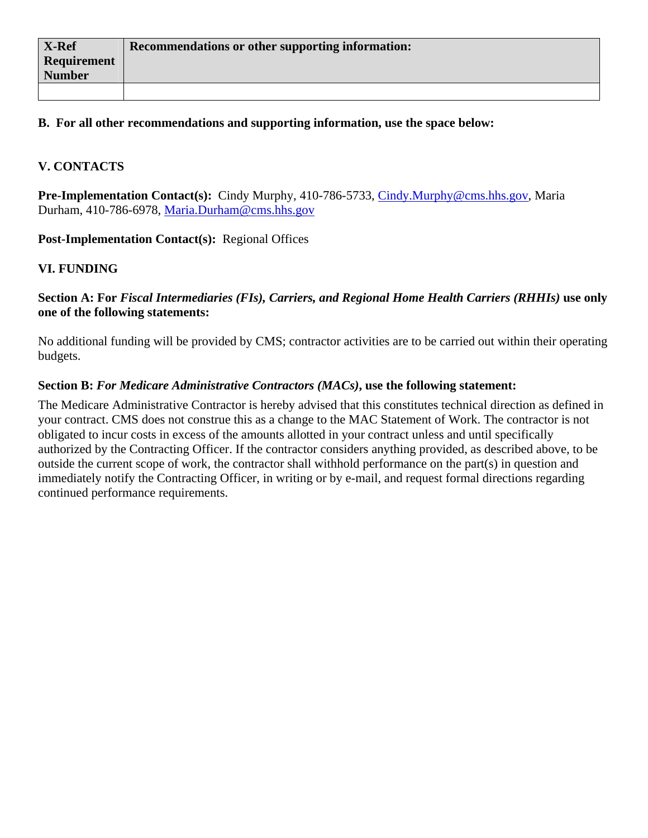## **B. For all other recommendations and supporting information, use the space below:**

# **V. CONTACTS**

**Pre-Implementation Contact(s):** Cindy Murphy, 410-786-5733, [Cindy.Murphy@cms.hhs.gov](mailto:Cindy.Murphy@cms.hhs.gov), Maria Durham, 410-786-6978, [Maria.Durham@cms.hhs.gov](mailto:Maria.Durham@cms.hhs.gov)

Post-Implementation Contact(s): Regional Offices

## **VI. FUNDING**

#### **Section A: For** *Fiscal Intermediaries (FIs), Carriers, and Regional Home Health Carriers (RHHIs)* **use only one of the following statements:**

No additional funding will be provided by CMS; contractor activities are to be carried out within their operating budgets.

#### **Section B:** *For Medicare Administrative Contractors (MACs)***, use the following statement:**

The Medicare Administrative Contractor is hereby advised that this constitutes technical direction as defined in your contract. CMS does not construe this as a change to the MAC Statement of Work. The contractor is not obligated to incur costs in excess of the amounts allotted in your contract unless and until specifically authorized by the Contracting Officer. If the contractor considers anything provided, as described above, to be outside the current scope of work, the contractor shall withhold performance on the part(s) in question and immediately notify the Contracting Officer, in writing or by e-mail, and request formal directions regarding continued performance requirements.